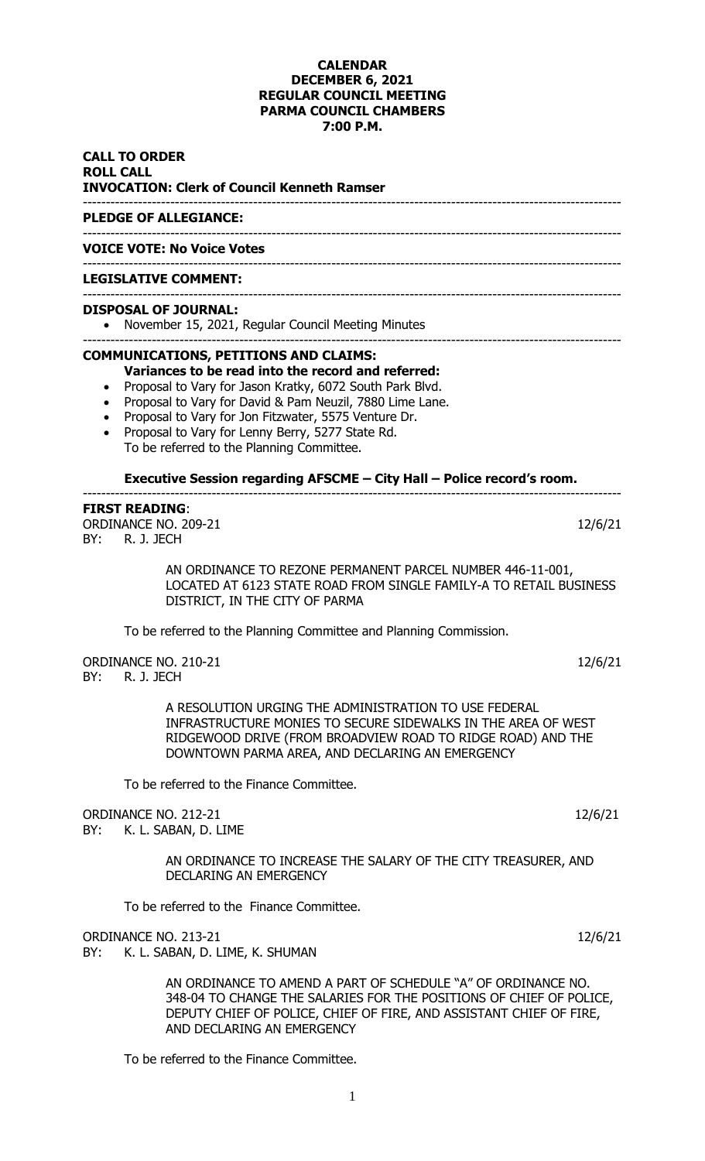### **CALENDAR DECEMBER 6, 2021 REGULAR COUNCIL MEETING PARMA COUNCIL CHAMBERS 7:00 P.M.**

**CALL TO ORDER ROLL CALL INVOCATION: Clerk of Council Kenneth Ramser** ---------------------------------------------------------------------------------------------------------------------

### **PLEDGE OF ALLEGIANCE:**

**VOICE VOTE: No Voice Votes**

#### --------------------------------------------------------------------------------------------------------------------- **LEGISLATIVE COMMENT:**

#### --------------------------------------------------------------------------------------------------------------------- **DISPOSAL OF JOURNAL:**

• November 15, 2021, Regular Council Meeting Minutes

---------------------------------------------------------------------------------------------------------------------

---------------------------------------------------------------------------------------------------------------------

# **COMMUNICATIONS, PETITIONS AND CLAIMS:**

- **Variances to be read into the record and referred:**
- Proposal to Vary for Jason Kratky, 6072 South Park Blvd.
- Proposal to Vary for David & Pam Neuzil, 7880 Lime Lane.
- Proposal to Vary for Jon Fitzwater, 5575 Venture Dr.
- Proposal to Vary for Lenny Berry, 5277 State Rd. To be referred to the Planning Committee.

### **Executive Session regarding AFSCME – City Hall – Police record's room.**

---------------------------------------------------------------------------------------------------------------------

# **FIRST READING**:

ORDINANCE NO. 209-21 12/6/21 BY: R. J. JECH

> AN ORDINANCE TO REZONE PERMANENT PARCEL NUMBER 446-11-001, LOCATED AT 6123 STATE ROAD FROM SINGLE FAMILY-A TO RETAIL BUSINESS DISTRICT, IN THE CITY OF PARMA

To be referred to the Planning Committee and Planning Commission.

ORDINANCE NO. 210-21 12/6/21 BY: R. J. JECH

> A RESOLUTION URGING THE ADMINISTRATION TO USE FEDERAL INFRASTRUCTURE MONIES TO SECURE SIDEWALKS IN THE AREA OF WEST RIDGEWOOD DRIVE (FROM BROADVIEW ROAD TO RIDGE ROAD) AND THE DOWNTOWN PARMA AREA, AND DECLARING AN EMERGENCY

To be referred to the Finance Committee.

ORDINANCE NO. 212-21 12/6/21

BY: K. L. SABAN, D. LIME

AN ORDINANCE TO INCREASE THE SALARY OF THE CITY TREASURER, AND DECLARING AN EMERGENCY

To be referred to the Finance Committee.

ORDINANCE NO. 213-21 12/6/21 12/6/21

BY: K. L. SABAN, D. LIME, K. SHUMAN

AN ORDINANCE TO AMEND A PART OF SCHEDULE "A" OF ORDINANCE NO. 348-04 TO CHANGE THE SALARIES FOR THE POSITIONS OF CHIEF OF POLICE, DEPUTY CHIEF OF POLICE, CHIEF OF FIRE, AND ASSISTANT CHIEF OF FIRE, AND DECLARING AN EMERGENCY

To be referred to the Finance Committee.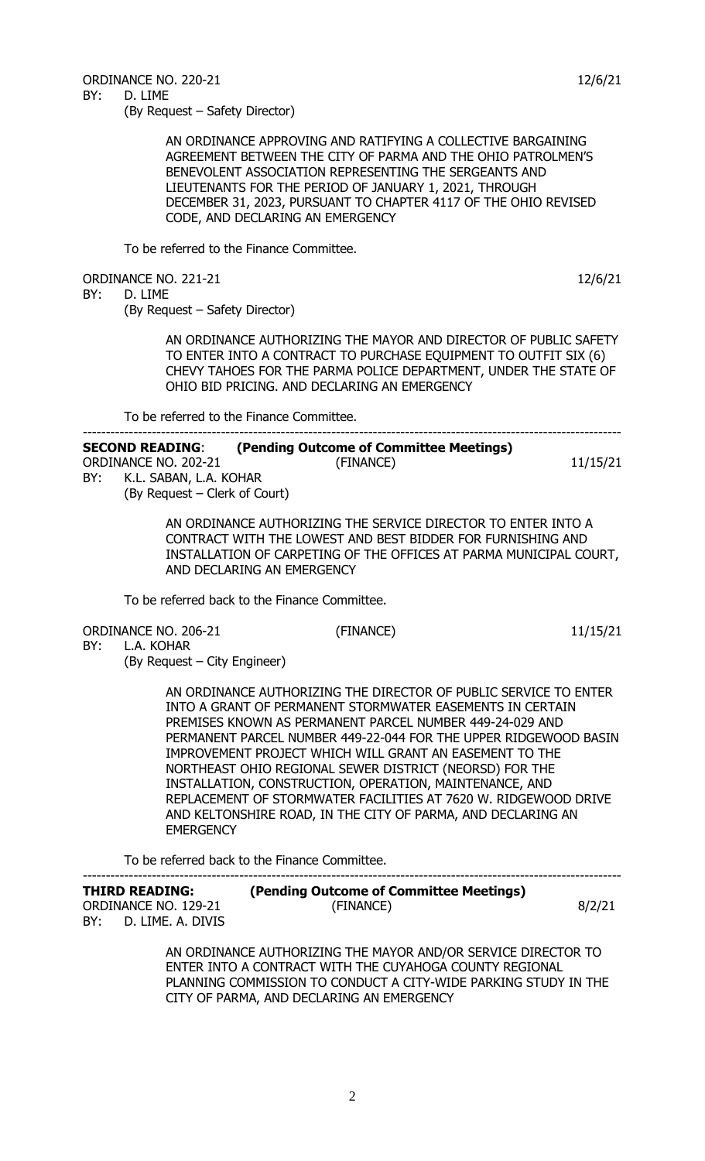ORDINANCE NO. 220-21 12/6/21 BY: D. LIME

(By Request – Safety Director)

AN ORDINANCE APPROVING AND RATIFYING A COLLECTIVE BARGAINING AGREEMENT BETWEEN THE CITY OF PARMA AND THE OHIO PATROLMEN'S BENEVOLENT ASSOCIATION REPRESENTING THE SERGEANTS AND LIEUTENANTS FOR THE PERIOD OF JANUARY 1, 2021, THROUGH DECEMBER 31, 2023, PURSUANT TO CHAPTER 4117 OF THE OHIO REVISED CODE, AND DECLARING AN EMERGENCY

To be referred to the Finance Committee.

ORDINANCE NO. 221-21 12/6/21

BY: D. LIME

(By Request – Safety Director)

AN ORDINANCE AUTHORIZING THE MAYOR AND DIRECTOR OF PUBLIC SAFETY TO ENTER INTO A CONTRACT TO PURCHASE EQUIPMENT TO OUTFIT SIX (6) CHEVY TAHOES FOR THE PARMA POLICE DEPARTMENT, UNDER THE STATE OF OHIO BID PRICING. AND DECLARING AN EMERGENCY

To be referred to the Finance Committee.

| (Pending Outcome of Committee Meetings) |          |
|-----------------------------------------|----------|
| (FINANCE)                               | 11/15/21 |
| K.L. SABAN, L.A. KOHAR                  |          |
|                                         |          |

(By Request – Clerk of Court)

AN ORDINANCE AUTHORIZING THE SERVICE DIRECTOR TO ENTER INTO A CONTRACT WITH THE LOWEST AND BEST BIDDER FOR FURNISHING AND INSTALLATION OF CARPETING OF THE OFFICES AT PARMA MUNICIPAL COURT, AND DECLARING AN EMERGENCY

To be referred back to the Finance Committee.

ORDINANCE NO. 206-21 (FINANCE) 11/15/21

BY: L.A. KOHAR (By Request – City Engineer)

> AN ORDINANCE AUTHORIZING THE DIRECTOR OF PUBLIC SERVICE TO ENTER INTO A GRANT OF PERMANENT STORMWATER EASEMENTS IN CERTAIN PREMISES KNOWN AS PERMANENT PARCEL NUMBER 449-24-029 AND PERMANENT PARCEL NUMBER 449-22-044 FOR THE UPPER RIDGEWOOD BASIN IMPROVEMENT PROJECT WHICH WILL GRANT AN EASEMENT TO THE NORTHEAST OHIO REGIONAL SEWER DISTRICT (NEORSD) FOR THE INSTALLATION, CONSTRUCTION, OPERATION, MAINTENANCE, AND REPLACEMENT OF STORMWATER FACILITIES AT 7620 W. RIDGEWOOD DRIVE AND KELTONSHIRE ROAD, IN THE CITY OF PARMA, AND DECLARING AN **EMERGENCY**

To be referred back to the Finance Committee.

| <b>THIRD READING:</b>    | (Pending Outcome of Committee Meetings) |        |
|--------------------------|-----------------------------------------|--------|
| ORDINANCE NO. 129-21     | (FINANCE)                               | 8/2/21 |
| BY:<br>D. LIME. A. DIVIS |                                         |        |

AN ORDINANCE AUTHORIZING THE MAYOR AND/OR SERVICE DIRECTOR TO ENTER INTO A CONTRACT WITH THE CUYAHOGA COUNTY REGIONAL PLANNING COMMISSION TO CONDUCT A CITY-WIDE PARKING STUDY IN THE CITY OF PARMA, AND DECLARING AN EMERGENCY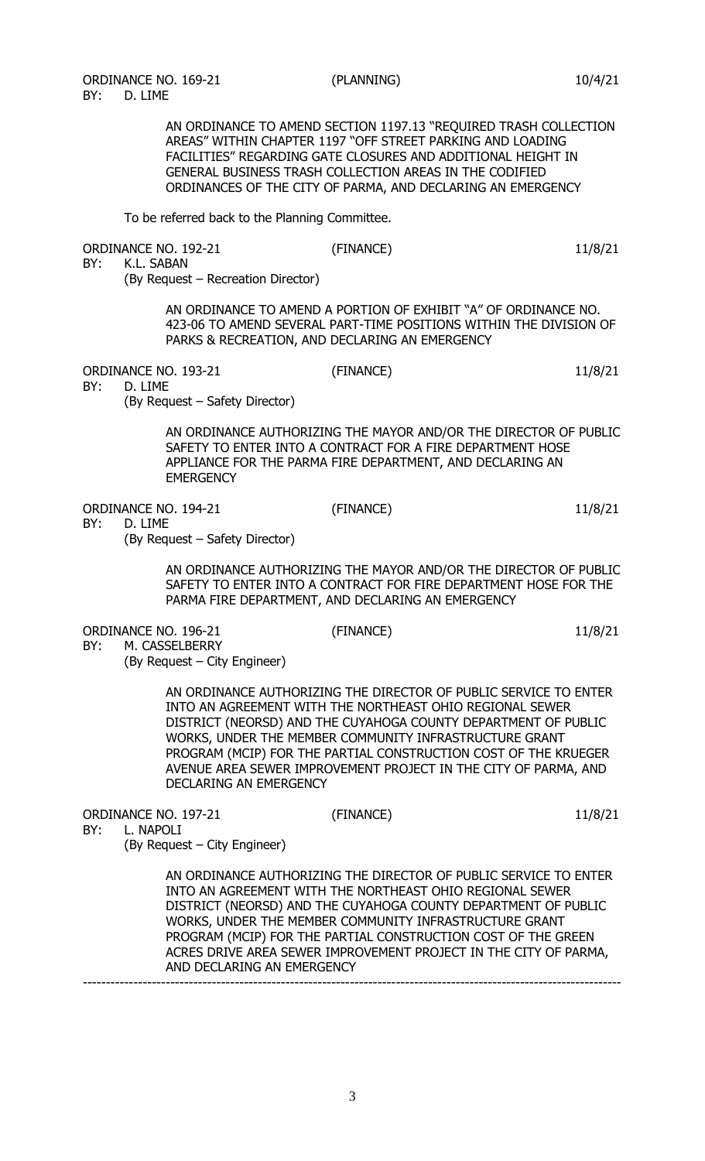AN ORDINANCE TO AMEND SECTION 1197.13 "REQUIRED TRASH COLLECTION AREAS" WITHIN CHAPTER 1197 "OFF STREET PARKING AND LOADING FACILITIES" REGARDING GATE CLOSURES AND ADDITIONAL HEIGHT IN GENERAL BUSINESS TRASH COLLECTION AREAS IN THE CODIFIED ORDINANCES OF THE CITY OF PARMA, AND DECLARING AN EMERGENCY

To be referred back to the Planning Committee.

| BY:              | ORDINANCE NO. 192-21<br>K.L. SABAN<br>(By Request - Recreation Director) | (FINANCE)                                                                                                                                                                                                                                                                                                                                                                                      | 11/8/21 |
|------------------|--------------------------------------------------------------------------|------------------------------------------------------------------------------------------------------------------------------------------------------------------------------------------------------------------------------------------------------------------------------------------------------------------------------------------------------------------------------------------------|---------|
|                  |                                                                          | AN ORDINANCE TO AMEND A PORTION OF EXHIBIT "A" OF ORDINANCE NO.<br>423-06 TO AMEND SEVERAL PART-TIME POSITIONS WITHIN THE DIVISION OF<br>PARKS & RECREATION, AND DECLARING AN EMERGENCY                                                                                                                                                                                                        |         |
| BY:<br>D. LIME   | ORDINANCE NO. 193-21<br>(By Request - Safety Director)                   | (FINANCE)                                                                                                                                                                                                                                                                                                                                                                                      | 11/8/21 |
|                  | <b>EMERGENCY</b>                                                         | AN ORDINANCE AUTHORIZING THE MAYOR AND/OR THE DIRECTOR OF PUBLIC<br>SAFETY TO ENTER INTO A CONTRACT FOR A FIRE DEPARTMENT HOSE<br>APPLIANCE FOR THE PARMA FIRE DEPARTMENT, AND DECLARING AN                                                                                                                                                                                                    |         |
| BY:<br>D. LIME   | ORDINANCE NO. 194-21<br>(By Request – Safety Director)                   | (FINANCE)                                                                                                                                                                                                                                                                                                                                                                                      | 11/8/21 |
|                  |                                                                          | AN ORDINANCE AUTHORIZING THE MAYOR AND/OR THE DIRECTOR OF PUBLIC<br>SAFETY TO ENTER INTO A CONTRACT FOR FIRE DEPARTMENT HOSE FOR THE<br>PARMA FIRE DEPARTMENT, AND DECLARING AN EMERGENCY                                                                                                                                                                                                      |         |
| BY:              | ORDINANCE NO. 196-21<br>M. CASSELBERRY<br>(By Request – City Engineer)   | (FINANCE)                                                                                                                                                                                                                                                                                                                                                                                      | 11/8/21 |
|                  | DECLARING AN EMERGENCY                                                   | AN ORDINANCE AUTHORIZING THE DIRECTOR OF PUBLIC SERVICE TO ENTER<br>INTO AN AGREEMENT WITH THE NORTHEAST OHIO REGIONAL SEWER<br>DISTRICT (NEORSD) AND THE CUYAHOGA COUNTY DEPARTMENT OF PUBLIC<br>WORKS, UNDER THE MEMBER COMMUNITY INFRASTRUCTURE GRANT<br>PROGRAM (MCIP) FOR THE PARTIAL CONSTRUCTION COST OF THE KRUEGER<br>AVENUE AREA SEWER IMPROVEMENT PROJECT IN THE CITY OF PARMA, AND |         |
| BY:<br>L. NAPOLI | ORDINANCE NO. 197-21<br>(By Request – City Engineer)                     | (FINANCE)                                                                                                                                                                                                                                                                                                                                                                                      | 11/8/21 |
|                  | AND DECLARING AN EMERGENCY                                               | AN ORDINANCE AUTHORIZING THE DIRECTOR OF PUBLIC SERVICE TO ENTER<br>INTO AN AGREEMENT WITH THE NORTHEAST OHIO REGIONAL SEWER<br>DISTRICT (NEORSD) AND THE CUYAHOGA COUNTY DEPARTMENT OF PUBLIC<br>WORKS, UNDER THE MEMBER COMMUNITY INFRASTRUCTURE GRANT<br>PROGRAM (MCIP) FOR THE PARTIAL CONSTRUCTION COST OF THE GREEN<br>ACRES DRIVE AREA SEWER IMPROVEMENT PROJECT IN THE CITY OF PARMA,  |         |
|                  |                                                                          |                                                                                                                                                                                                                                                                                                                                                                                                |         |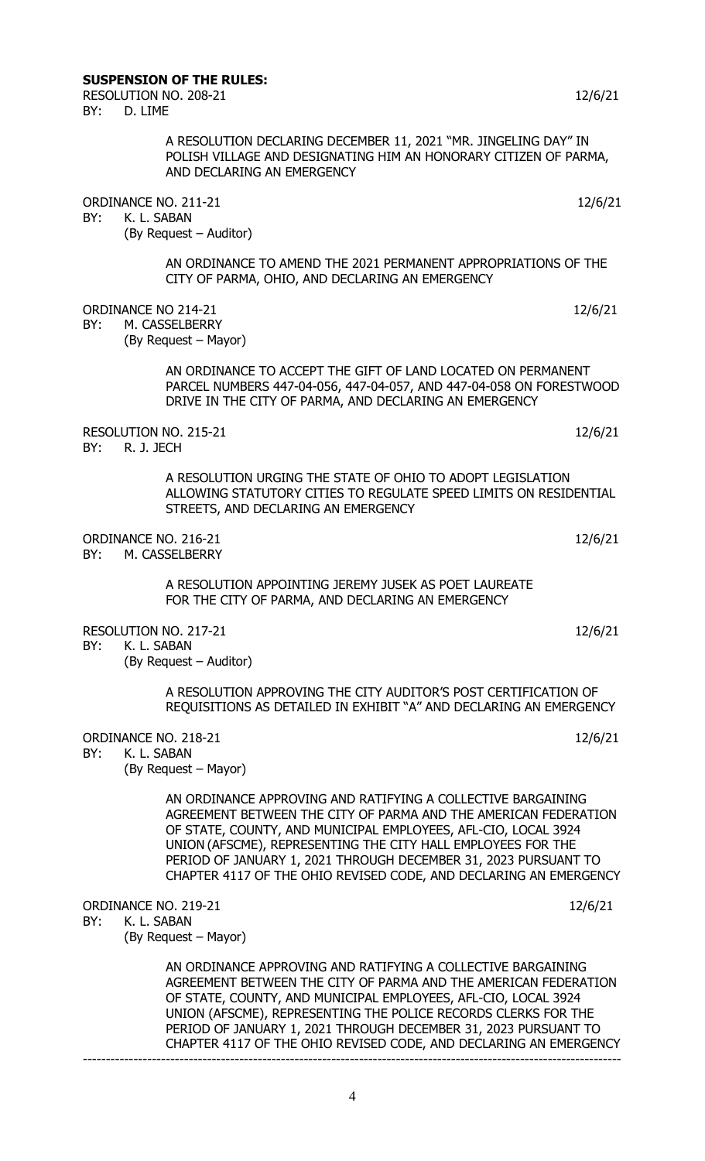## **SUSPENSION OF THE RULES:**

RESOLUTION NO. 208-21 12/6/21 12/6/21 BY: D. LIME

> A RESOLUTION DECLARING DECEMBER 11, 2021 "MR. JINGELING DAY" IN POLISH VILLAGE AND DESIGNATING HIM AN HONORARY CITIZEN OF PARMA, AND DECLARING AN EMERGENCY

ORDINANCE NO. 211-21 12/6/21

BY: K. L. SABAN

(By Request – Auditor)

AN ORDINANCE TO AMEND THE 2021 PERMANENT APPROPRIATIONS OF THE CITY OF PARMA, OHIO, AND DECLARING AN EMERGENCY

ORDINANCE NO 214-21 12/6/21

BY: M. CASSELBERRY

(By Request – Mayor)

AN ORDINANCE TO ACCEPT THE GIFT OF LAND LOCATED ON PERMANENT PARCEL NUMBERS 447-04-056, 447-04-057, AND 447-04-058 ON FORESTWOOD DRIVE IN THE CITY OF PARMA, AND DECLARING AN EMERGENCY

RESOLUTION NO. 215-21 12/6/21<br>RY·R 1 TECH BY: R. J. JECH

> A RESOLUTION URGING THE STATE OF OHIO TO ADOPT LEGISLATION ALLOWING STATUTORY CITIES TO REGULATE SPEED LIMITS ON RESIDENTIAL STREETS, AND DECLARING AN EMERGENCY

ORDINANCE NO. 216-21 12/6/21 BY: M. CASSELBERRY

> A RESOLUTION APPOINTING JEREMY JUSEK AS POET LAUREATE FOR THE CITY OF PARMA, AND DECLARING AN EMERGENCY

RESOLUTION NO. 217-21 12/6/21 12/6/21

BY: K. L. SABAN (By Request – Auditor)

> A RESOLUTION APPROVING THE CITY AUDITOR'S POST CERTIFICATION OF REQUISITIONS AS DETAILED IN EXHIBIT "A" AND DECLARING AN EMERGENCY

ORDINANCE NO. 218-21 12/6/21

BY: K. L. SABAN

(By Request – Mayor)

AN ORDINANCE APPROVING AND RATIFYING A COLLECTIVE BARGAINING AGREEMENT BETWEEN THE CITY OF PARMA AND THE AMERICAN FEDERATION OF STATE, COUNTY, AND MUNICIPAL EMPLOYEES, AFL-CIO, LOCAL 3924 UNION (AFSCME), REPRESENTING THE CITY HALL EMPLOYEES FOR THE PERIOD OF JANUARY 1, 2021 THROUGH DECEMBER 31, 2023 PURSUANT TO CHAPTER 4117 OF THE OHIO REVISED CODE, AND DECLARING AN EMERGENCY

ORDINANCE NO. 219-21 12/6/21

BY: K. L. SABAN

(By Request – Mayor)

AN ORDINANCE APPROVING AND RATIFYING A COLLECTIVE BARGAINING AGREEMENT BETWEEN THE CITY OF PARMA AND THE AMERICAN FEDERATION OF STATE, COUNTY, AND MUNICIPAL EMPLOYEES, AFL-CIO, LOCAL 3924 UNION (AFSCME), REPRESENTING THE POLICE RECORDS CLERKS FOR THE PERIOD OF JANUARY 1, 2021 THROUGH DECEMBER 31, 2023 PURSUANT TO CHAPTER 4117 OF THE OHIO REVISED CODE, AND DECLARING AN EMERGENCY ---------------------------------------------------------------------------------------------------------------------